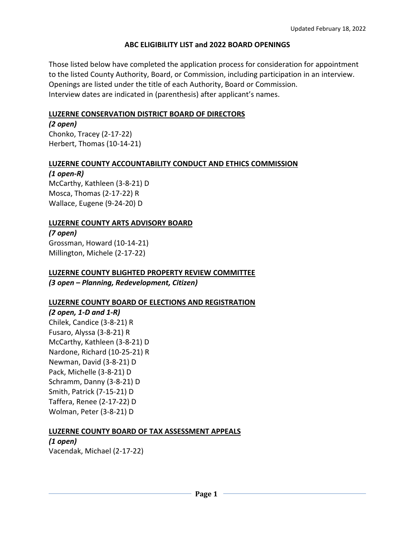#### **ABC ELIGIBILITY LIST and 2022 BOARD OPENINGS**

Those listed below have completed the application process for consideration for appointment to the listed County Authority, Board, or Commission, including participation in an interview. Openings are listed under the title of each Authority, Board or Commission. Interview dates are indicated in (parenthesis) after applicant's names.

#### **LUZERNE CONSERVATION DISTRICT BOARD OF DIRECTORS**

*(2 open)* Chonko, Tracey (2-17-22) Herbert, Thomas (10-14-21)

#### **LUZERNE COUNTY ACCOUNTABILITY CONDUCT AND ETHICS COMMISSION**

#### *(1 open-R)*

McCarthy, Kathleen (3-8-21) D Mosca, Thomas (2-17-22) R Wallace, Eugene (9-24-20) D

#### **LUZERNE COUNTY ARTS ADVISORY BOARD**

*(7 open)* Grossman, Howard (10-14-21) Millington, Michele (2-17-22)

# **LUZERNE COUNTY BLIGHTED PROPERTY REVIEW COMMITTEE**

*(3 open – Planning, Redevelopment, Citizen)*

#### **LUZERNE COUNTY BOARD OF ELECTIONS AND REGISTRATION**

*(2 open, 1-D and 1-R)* Chilek, Candice (3-8-21) R Fusaro, Alyssa (3-8-21) R McCarthy, Kathleen (3-8-21) D Nardone, Richard (10-25-21) R Newman, David (3-8-21) D Pack, Michelle (3-8-21) D Schramm, Danny (3-8-21) D Smith, Patrick (7-15-21) D Taffera, Renee (2-17-22) D Wolman, Peter (3-8-21) D

#### **LUZERNE COUNTY BOARD OF TAX ASSESSMENT APPEALS**

*(1 open)* Vacendak, Michael (2-17-22)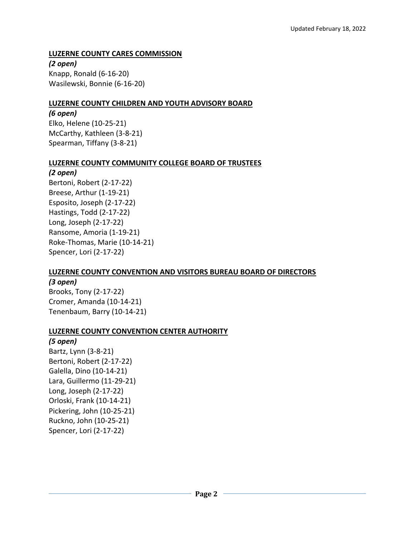## **LUZERNE COUNTY CARES COMMISSION**

*(2 open)* Knapp, Ronald (6-16-20) Wasilewski, Bonnie (6-16-20)

#### **LUZERNE COUNTY CHILDREN AND YOUTH ADVISORY BOARD**

#### *(6 open)*

Elko, Helene (10-25-21) McCarthy, Kathleen (3-8-21) Spearman, Tiffany (3-8-21)

#### **LUZERNE COUNTY COMMUNITY COLLEGE BOARD OF TRUSTEES**

*(2 open)* Bertoni, Robert (2-17-22) Breese, Arthur (1-19-21) Esposito, Joseph (2-17-22) Hastings, Todd (2-17-22) Long, Joseph (2-17-22) Ransome, Amoria (1-19-21) Roke-Thomas, Marie (10-14-21) Spencer, Lori (2-17-22)

#### **LUZERNE COUNTY CONVENTION AND VISITORS BUREAU BOARD OF DIRECTORS**

## *(3 open)* Brooks, Tony (2-17-22) Cromer, Amanda (10-14-21) Tenenbaum, Barry (10-14-21)

#### **LUZERNE COUNTY CONVENTION CENTER AUTHORITY**

*(5 open)* Bartz, Lynn (3-8-21) Bertoni, Robert (2-17-22) Galella, Dino (10-14-21) Lara, Guillermo (11-29-21) Long, Joseph (2-17-22) Orloski, Frank (10-14-21) Pickering, John (10-25-21) Ruckno, John (10-25-21) Spencer, Lori (2-17-22)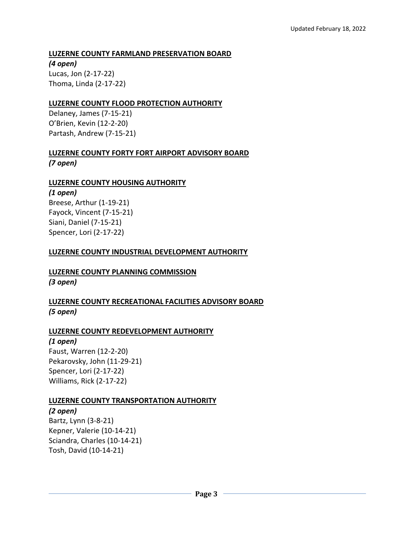#### **LUZERNE COUNTY FARMLAND PRESERVATION BOARD**

*(4 open)* Lucas, Jon (2-17-22) Thoma, Linda (2-17-22)

#### **LUZERNE COUNTY FLOOD PROTECTION AUTHORITY**

Delaney, James (7-15-21) O'Brien, Kevin (12-2-20) Partash, Andrew (7-15-21)

## **LUZERNE COUNTY FORTY FORT AIRPORT ADVISORY BOARD** *(7 open)*

## **LUZERNE COUNTY HOUSING AUTHORITY**

*(1 open)* Breese, Arthur (1-19-21) Fayock, Vincent (7-15-21) Siani, Daniel (7-15-21) Spencer, Lori (2-17-22)

#### **LUZERNE COUNTY INDUSTRIAL DEVELOPMENT AUTHORITY**

## **LUZERNE COUNTY PLANNING COMMISSION** *(3 open)*

**LUZERNE COUNTY RECREATIONAL FACILITIES ADVISORY BOARD** *(5 open)*

#### **LUZERNE COUNTY REDEVELOPMENT AUTHORITY**

#### *(1 open)*

Faust, Warren (12-2-20) Pekarovsky, John (11-29-21) Spencer, Lori (2-17-22) Williams, Rick (2-17-22)

#### **LUZERNE COUNTY TRANSPORTATION AUTHORITY**

*(2 open)* Bartz, Lynn (3-8-21) Kepner, Valerie (10-14-21) Sciandra, Charles (10-14-21) Tosh, David (10-14-21)